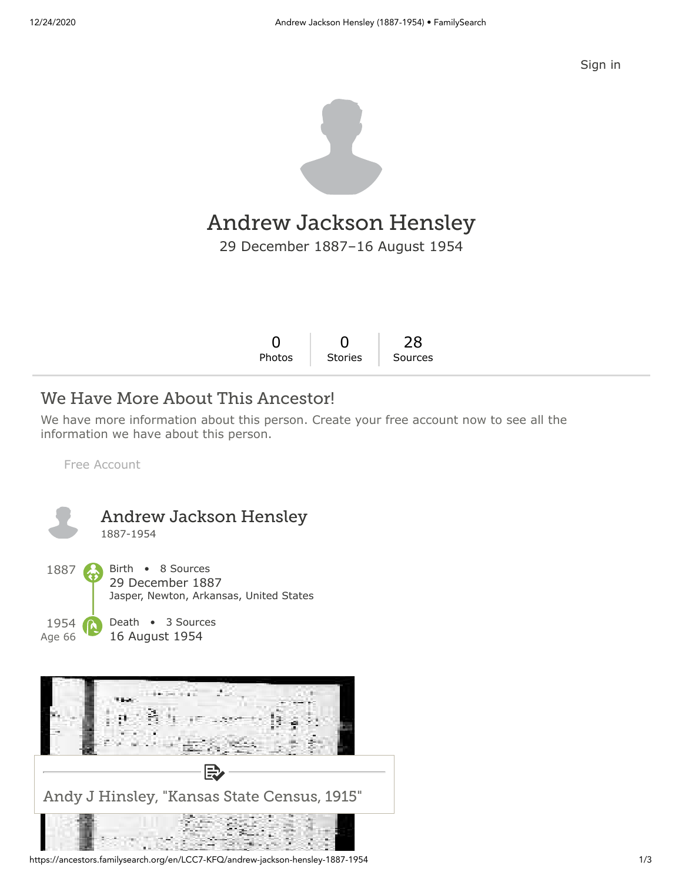

# Andrew Jackson Hensley

29 December 1887–16 August 1954

| Stories Sources |        | $0 \quad 0 \quad 28$ |  |
|-----------------|--------|----------------------|--|
|                 | Photos |                      |  |

## We Have More About This Ancestor!

We have more information about this person. Create your free account now to see all the information we have about this person.

[Free Account](https://www.familysearch.org/register/?state=https://ancestors.familysearch.org/en/LCC7-KFQ/andrew-jackson-hensley-1887-1954&icid=amp_bdy_account1)





https://ancestors.familysearch.org/en/LCC7-KFQ/andrew-jackson-hensley-1887-1954 1/3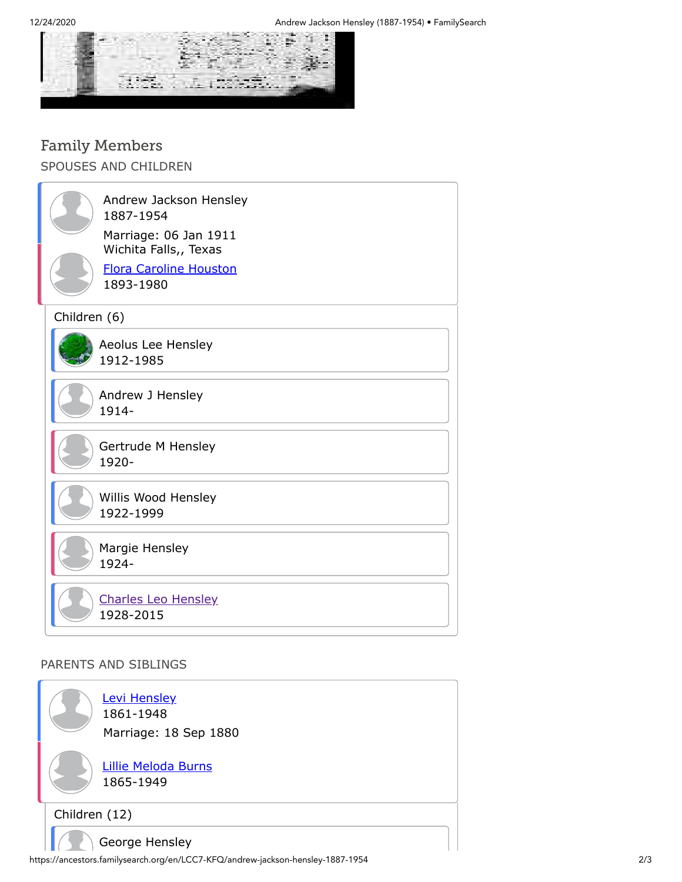

# Family Members

SPOUSES AND CHILDREN

|              | Andrew Jackson Hensley<br>1887-1954<br>Marriage: 06 Jan 1911<br>Wichita Falls,, Texas<br><b>Flora Caroline Houston</b><br>1893-1980 |  |  |  |
|--------------|-------------------------------------------------------------------------------------------------------------------------------------|--|--|--|
| Children (6) |                                                                                                                                     |  |  |  |
|              | Aeolus Lee Hensley<br>1912-1985                                                                                                     |  |  |  |
|              | Andrew J Hensley<br>1914-                                                                                                           |  |  |  |
|              | Gertrude M Hensley<br>1920-                                                                                                         |  |  |  |
|              | Willis Wood Hensley<br>1922-1999                                                                                                    |  |  |  |
|              | Margie Hensley<br>1924-                                                                                                             |  |  |  |
|              | <b>Charles Leo Hensley</b><br>1928-2015                                                                                             |  |  |  |

#### PARENTS AND SIBLINGS